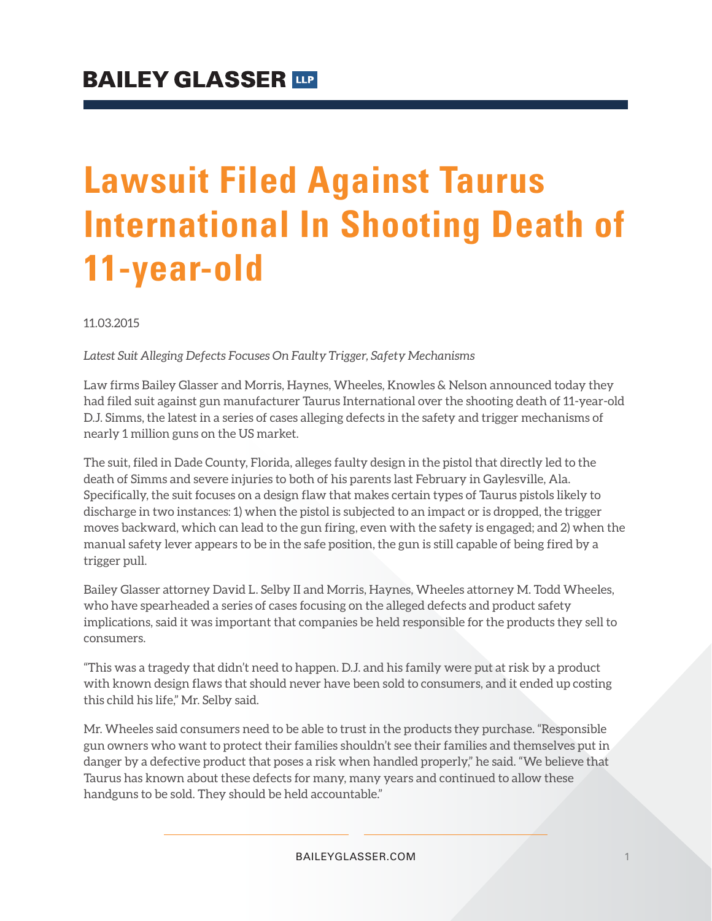# **Lawsuit Filed Against Taurus International In Shooting Death of 11-year-old**

11.03.2015

*Latest Suit Alleging Defects Focuses On Faulty Trigger, Safety Mechanisms*

Law firms Bailey Glasser and Morris, Haynes, Wheeles, Knowles & Nelson announced today they had filed suit against gun manufacturer Taurus International over the shooting death of 11-year-old D.J. Simms, the latest in a series of cases alleging defects in the safety and trigger mechanisms of nearly 1 million guns on the US market.

The suit, filed in Dade County, Florida, alleges faulty design in the pistol that directly led to the death of Simms and severe injuries to both of his parents last February in Gaylesville, Ala. Specifically, the suit focuses on a design flaw that makes certain types of Taurus pistols likely to discharge in two instances: 1) when the pistol is subjected to an impact or is dropped, the trigger moves backward, which can lead to the gun firing, even with the safety is engaged; and 2) when the manual safety lever appears to be in the safe position, the gun is still capable of being fired by a trigger pull.

Bailey Glasser attorney David L. Selby II and Morris, Haynes, Wheeles attorney M. Todd Wheeles, who have spearheaded a series of cases focusing on the alleged defects and product safety implications, said it was important that companies be held responsible for the products they sell to consumers.

"This was a tragedy that didn't need to happen. D.J. and his family were put at risk by a product with known design flaws that should never have been sold to consumers, and it ended up costing this child his life," Mr. Selby said.

Mr. Wheeles said consumers need to be able to trust in the products they purchase. "Responsible gun owners who want to protect their families shouldn't see their families and themselves put in danger by a defective product that poses a risk when handled properly," he said. "We believe that Taurus has known about these defects for many, many years and continued to allow these handguns to be sold. They should be held accountable."